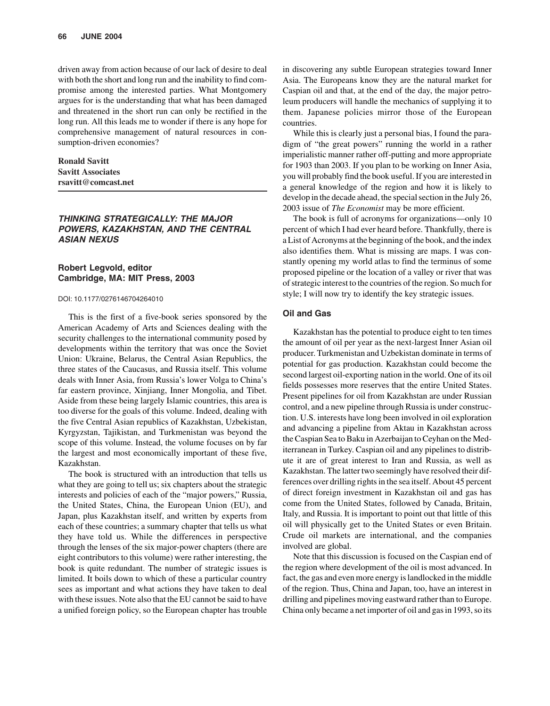driven away from action because of our lack of desire to deal with both the short and long run and the inability to find compromise among the interested parties. What Montgomery argues for is the understanding that what has been damaged and threatened in the short run can only be rectified in the long run. All this leads me to wonder if there is any hope for comprehensive management of natural resources in consumption-driven economies?

**Ronald Savitt Savitt Associates rsavitt@comcast.net**

# *THINKING STRATEGICALLY: THE MAJOR POWERS, KAZAKHSTAN, AND THE CENTRAL ASIAN NEXUS*

### *Robert Legvold, editor Cambridge, MA: MIT Press, 2003*

#### DOI: 10.1177/0276146704264010

This is the first of a five-book series sponsored by the American Academy of Arts and Sciences dealing with the security challenges to the international community posed by developments within the territory that was once the Soviet Union: Ukraine, Belarus, the Central Asian Republics, the three states of the Caucasus, and Russia itself. This volume deals with Inner Asia, from Russia's lower Volga to China's far eastern province, Xinjiang, Inner Mongolia, and Tibet. Aside from these being largely Islamic countries, this area is too diverse for the goals of this volume. Indeed, dealing with the five Central Asian republics of Kazakhstan, Uzbekistan, Kyrgyzstan, Tajikistan, and Turkmenistan was beyond the scope of this volume. Instead, the volume focuses on by far the largest and most economically important of these five, Kazakhstan.

The book is structured with an introduction that tells us what they are going to tell us; six chapters about the strategic interests and policies of each of the "major powers," Russia, the United States, China, the European Union (EU), and Japan, plus Kazakhstan itself, and written by experts from each of these countries; a summary chapter that tells us what they have told us. While the differences in perspective through the lenses of the six major-power chapters (there are eight contributors to this volume) were rather interesting, the book is quite redundant. The number of strategic issues is limited. It boils down to which of these a particular country sees as important and what actions they have taken to deal with these issues. Note also that the EU cannot be said to have a unified foreign policy, so the European chapter has trouble in discovering any subtle European strategies toward Inner Asia. The Europeans know they are the natural market for Caspian oil and that, at the end of the day, the major petroleum producers will handle the mechanics of supplying it to them. Japanese policies mirror those of the European countries.

While this is clearly just a personal bias, I found the paradigm of "the great powers" running the world in a rather imperialistic manner rather off-putting and more appropriate for 1903 than 2003. If you plan to be working on Inner Asia, you will probably find the book useful. If you are interested in a general knowledge of the region and how it is likely to develop in the decade ahead, the special section in the July 26, 2003 issue of *The Economist* may be more efficient.

The book is full of acronyms for organizations—only 10 percent of which I had ever heard before. Thankfully, there is a List of Acronyms at the beginning of the book, and the index also identifies them. What is missing are maps. I was constantly opening my world atlas to find the terminus of some proposed pipeline or the location of a valley or river that was of strategic interest to the countries of the region. So much for style; I will now try to identify the key strategic issues.

#### *Oil and Gas*

Kazakhstan has the potential to produce eight to ten times the amount of oil per year as the next-largest Inner Asian oil producer. Turkmenistan and Uzbekistan dominate in terms of potential for gas production. Kazakhstan could become the second largest oil-exporting nation in the world. One of its oil fields possesses more reserves that the entire United States. Present pipelines for oil from Kazakhstan are under Russian control, and a new pipeline through Russia is under construction. U.S. interests have long been involved in oil exploration and advancing a pipeline from Aktau in Kazakhstan across the Caspian Sea to Baku in Azerbaijan to Ceyhan on the Mediterranean in Turkey. Caspian oil and any pipelines to distribute it are of great interest to Iran and Russia, as well as Kazakhstan. The latter two seemingly have resolved their differences over drilling rights in the sea itself. About 45 percent of direct foreign investment in Kazakhstan oil and gas has come from the United States, followed by Canada, Britain, Italy, and Russia. It is important to point out that little of this oil will physically get to the United States or even Britain. Crude oil markets are international, and the companies involved are global.

Note that this discussion is focused on the Caspian end of the region where development of the oil is most advanced. In fact, the gas and even more energy is landlocked in the middle of the region. Thus, China and Japan, too, have an interest in drilling and pipelines moving eastward rather than to Europe. China only became a net importer of oil and gas in 1993, so its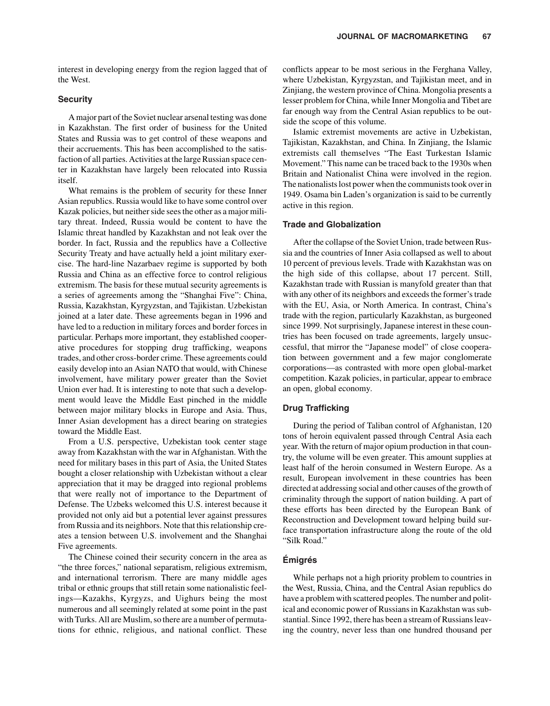interest in developing energy from the region lagged that of the West.

### *Security*

A major part of the Soviet nuclear arsenal testing was done in Kazakhstan. The first order of business for the United States and Russia was to get control of these weapons and their accruements. This has been accomplished to the satisfaction of all parties. Activities at the large Russian space center in Kazakhstan have largely been relocated into Russia itself.

What remains is the problem of security for these Inner Asian republics. Russia would like to have some control over Kazak policies, but neither side sees the other as a major military threat. Indeed, Russia would be content to have the Islamic threat handled by Kazakhstan and not leak over the border. In fact, Russia and the republics have a Collective Security Treaty and have actually held a joint military exercise. The hard-line Nazarbaev regime is supported by both Russia and China as an effective force to control religious extremism. The basis for these mutual security agreements is a series of agreements among the "Shanghai Five": China, Russia, Kazakhstan, Kyrgyzstan, and Tajikistan. Uzbekistan joined at a later date. These agreements began in 1996 and have led to a reduction in military forces and border forces in particular. Perhaps more important, they established cooperative procedures for stopping drug trafficking, weapons trades, and other cross-border crime. These agreements could easily develop into an Asian NATO that would, with Chinese involvement, have military power greater than the Soviet Union ever had. It is interesting to note that such a development would leave the Middle East pinched in the middle between major military blocks in Europe and Asia. Thus, Inner Asian development has a direct bearing on strategies toward the Middle East.

From a U.S. perspective, Uzbekistan took center stage away from Kazakhstan with the war in Afghanistan. With the need for military bases in this part of Asia, the United States bought a closer relationship with Uzbekistan without a clear appreciation that it may be dragged into regional problems that were really not of importance to the Department of Defense. The Uzbeks welcomed this U.S. interest because it provided not only aid but a potential lever against pressures from Russia and its neighbors. Note that this relationship creates a tension between U.S. involvement and the Shanghai Five agreements.

The Chinese coined their security concern in the area as "the three forces," national separatism, religious extremism, and international terrorism. There are many middle ages tribal or ethnic groups that still retain some nationalistic feelings—Kazakhs, Kyrgyzs, and Uighurs being the most numerous and all seemingly related at some point in the past with Turks. All are Muslim, so there are a number of permutations for ethnic, religious, and national conflict. These conflicts appear to be most serious in the Ferghana Valley, where Uzbekistan, Kyrgyzstan, and Tajikistan meet, and in Zinjiang, the western province of China. Mongolia presents a lesser problem for China, while Inner Mongolia and Tibet are far enough way from the Central Asian republics to be outside the scope of this volume.

Islamic extremist movements are active in Uzbekistan, Tajikistan, Kazakhstan, and China. In Zinjiang, the Islamic extremists call themselves "The East Turkestan Islamic Movement." This name can be traced back to the 1930s when Britain and Nationalist China were involved in the region. The nationalists lost power when the communists took over in 1949. Osama bin Laden's organization is said to be currently active in this region.

# *Trade and Globalization*

After the collapse of the Soviet Union, trade between Russia and the countries of Inner Asia collapsed as well to about 10 percent of previous levels. Trade with Kazakhstan was on the high side of this collapse, about 17 percent. Still, Kazakhstan trade with Russian is manyfold greater than that with any other of its neighbors and exceeds the former's trade with the EU, Asia, or North America. In contrast, China's trade with the region, particularly Kazakhstan, as burgeoned since 1999. Not surprisingly, Japanese interest in these countries has been focused on trade agreements, largely unsuccessful, that mirror the "Japanese model" of close cooperation between government and a few major conglomerate corporations—as contrasted with more open global-market competition. Kazak policies, in particular, appear to embrace an open, global economy.

### *Drug Trafficking*

During the period of Taliban control of Afghanistan, 120 tons of heroin equivalent passed through Central Asia each year. With the return of major opium production in that country, the volume will be even greater. This amount supplies at least half of the heroin consumed in Western Europe. As a result, European involvement in these countries has been directed at addressing social and other causes of the growth of criminality through the support of nation building. A part of these efforts has been directed by the European Bank of Reconstruction and Development toward helping build surface transportation infrastructure along the route of the old "Silk Road."

### *Émigrés*

While perhaps not a high priority problem to countries in the West, Russia, China, and the Central Asian republics do have a problem with scattered peoples. The number and political and economic power of Russians in Kazakhstan was substantial. Since 1992, there has been a stream of Russians leaving the country, never less than one hundred thousand per